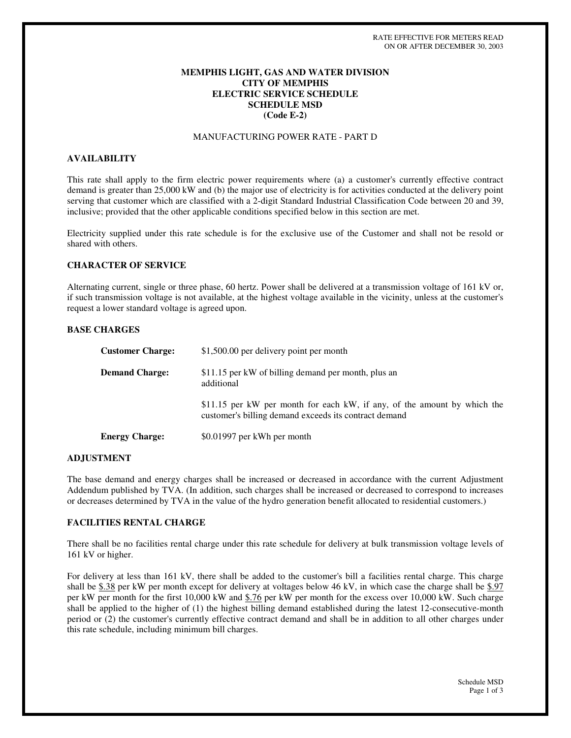# **MEMPHIS LIGHT, GAS AND WATER DIVISION CITY OF MEMPHIS ELECTRIC SERVICE SCHEDULE SCHEDULE MSD (Code E-2)**

## MANUFACTURING POWER RATE - PART D

### **AVAILABILITY**

This rate shall apply to the firm electric power requirements where (a) a customer's currently effective contract demand is greater than 25,000 kW and (b) the major use of electricity is for activities conducted at the delivery point serving that customer which are classified with a 2-digit Standard Industrial Classification Code between 20 and 39, inclusive; provided that the other applicable conditions specified below in this section are met.

Electricity supplied under this rate schedule is for the exclusive use of the Customer and shall not be resold or shared with others.

### **CHARACTER OF SERVICE**

Alternating current, single or three phase, 60 hertz. Power shall be delivered at a transmission voltage of 161 kV or, if such transmission voltage is not available, at the highest voltage available in the vicinity, unless at the customer's request a lower standard voltage is agreed upon.

### **BASE CHARGES**

| <b>Customer Charge:</b> | \$1,500.00 per delivery point per month                                                                                           |
|-------------------------|-----------------------------------------------------------------------------------------------------------------------------------|
| <b>Demand Charge:</b>   | \$11.15 per kW of billing demand per month, plus an<br>additional                                                                 |
|                         | \$11.15 per kW per month for each kW, if any, of the amount by which the<br>customer's billing demand exceeds its contract demand |
| <b>Energy Charge:</b>   | \$0.01997 per kWh per month                                                                                                       |

### **ADJUSTMENT**

The base demand and energy charges shall be increased or decreased in accordance with the current Adjustment Addendum published by TVA. (In addition, such charges shall be increased or decreased to correspond to increases or decreases determined by TVA in the value of the hydro generation benefit allocated to residential customers.)

## **FACILITIES RENTAL CHARGE**

There shall be no facilities rental charge under this rate schedule for delivery at bulk transmission voltage levels of 161 kV or higher.

For delivery at less than 161 kV, there shall be added to the customer's bill a facilities rental charge. This charge shall be  $$.38$  per kW per month except for delivery at voltages below 46 kV, in which case the charge shall be  $$.97$ per kW per month for the first 10,000 kW and \$.76 per kW per month for the excess over 10,000 kW. Such charge shall be applied to the higher of (1) the highest billing demand established during the latest 12-consecutive-month period or (2) the customer's currently effective contract demand and shall be in addition to all other charges under this rate schedule, including minimum bill charges.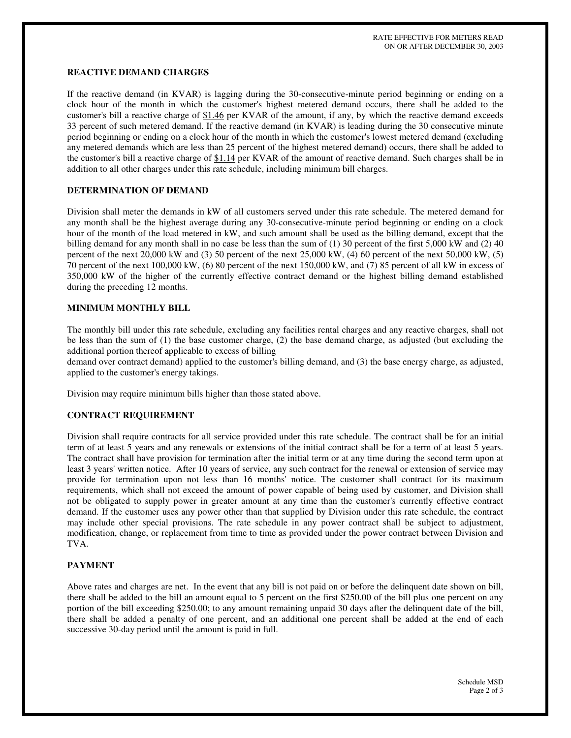## **REACTIVE DEMAND CHARGES**

If the reactive demand (in KVAR) is lagging during the 30-consecutive-minute period beginning or ending on a clock hour of the month in which the customer's highest metered demand occurs, there shall be added to the customer's bill a reactive charge of \$1.46 per KVAR of the amount, if any, by which the reactive demand exceeds 33 percent of such metered demand. If the reactive demand (in KVAR) is leading during the 30 consecutive minute period beginning or ending on a clock hour of the month in which the customer's lowest metered demand (excluding any metered demands which are less than 25 percent of the highest metered demand) occurs, there shall be added to the customer's bill a reactive charge of  $$1.14$  per KVAR of the amount of reactive demand. Such charges shall be in addition to all other charges under this rate schedule, including minimum bill charges.

### **DETERMINATION OF DEMAND**

Division shall meter the demands in kW of all customers served under this rate schedule. The metered demand for any month shall be the highest average during any 30-consecutive-minute period beginning or ending on a clock hour of the month of the load metered in kW, and such amount shall be used as the billing demand, except that the billing demand for any month shall in no case be less than the sum of  $(1)$  30 percent of the first 5,000 kW and  $(2)$  40 percent of the next 20,000 kW and (3) 50 percent of the next 25,000 kW, (4) 60 percent of the next 50,000 kW, (5) 70 percent of the next 100,000 kW, (6) 80 percent of the next 150,000 kW, and (7) 85 percent of all kW in excess of 350,000 kW of the higher of the currently effective contract demand or the highest billing demand established during the preceding 12 months.

## **MINIMUM MONTHLY BILL**

The monthly bill under this rate schedule, excluding any facilities rental charges and any reactive charges, shall not be less than the sum of (1) the base customer charge, (2) the base demand charge, as adjusted (but excluding the additional portion thereof applicable to excess of billing

demand over contract demand) applied to the customer's billing demand, and (3) the base energy charge, as adjusted, applied to the customer's energy takings.

Division may require minimum bills higher than those stated above.

### **CONTRACT REQUIREMENT**

Division shall require contracts for all service provided under this rate schedule. The contract shall be for an initial term of at least 5 years and any renewals or extensions of the initial contract shall be for a term of at least 5 years. The contract shall have provision for termination after the initial term or at any time during the second term upon at least 3 years' written notice. After 10 years of service, any such contract for the renewal or extension of service may provide for termination upon not less than 16 months' notice. The customer shall contract for its maximum requirements, which shall not exceed the amount of power capable of being used by customer, and Division shall not be obligated to supply power in greater amount at any time than the customer's currently effective contract demand. If the customer uses any power other than that supplied by Division under this rate schedule, the contract may include other special provisions. The rate schedule in any power contract shall be subject to adjustment, modification, change, or replacement from time to time as provided under the power contract between Division and TVA.

### **PAYMENT**

Above rates and charges are net. In the event that any bill is not paid on or before the delinquent date shown on bill, there shall be added to the bill an amount equal to 5 percent on the first \$250.00 of the bill plus one percent on any portion of the bill exceeding \$250.00; to any amount remaining unpaid 30 days after the delinquent date of the bill, there shall be added a penalty of one percent, and an additional one percent shall be added at the end of each successive 30-day period until the amount is paid in full.